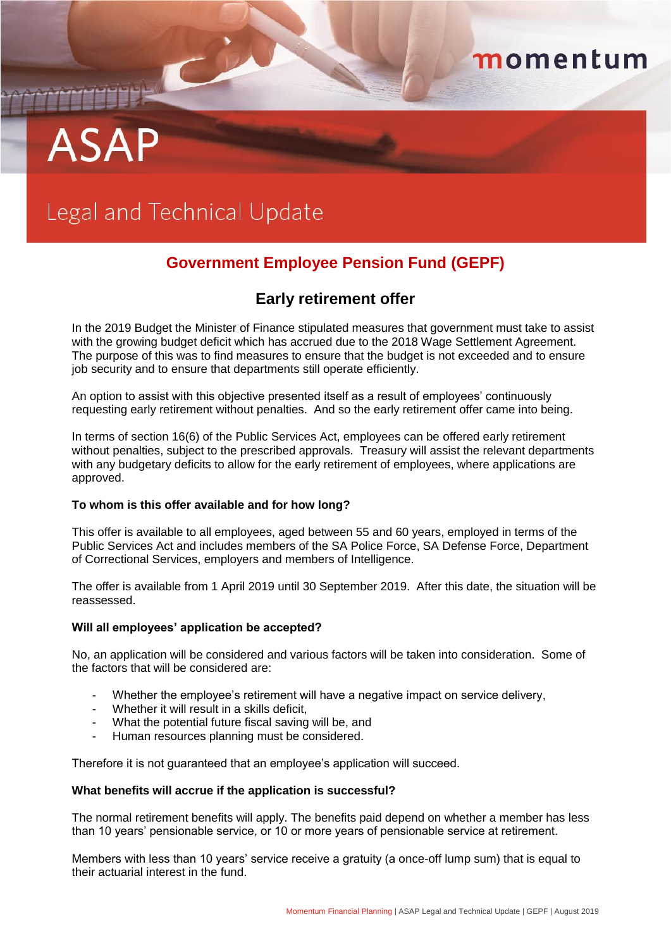# **ASAF**

# Legal and Technical Update

C

## **Government Employee Pension Fund (GEPF)**

momentum

### **Early retirement offer**

In the 2019 Budget the Minister of Finance stipulated measures that government must take to assist with the growing budget deficit which has accrued due to the 2018 Wage Settlement Agreement. The purpose of this was to find measures to ensure that the budget is not exceeded and to ensure job security and to ensure that departments still operate efficiently.

An option to assist with this objective presented itself as a result of employees' continuously requesting early retirement without penalties. And so the early retirement offer came into being.

In terms of section 16(6) of the Public Services Act, employees can be offered early retirement without penalties, subject to the prescribed approvals. Treasury will assist the relevant departments with any budgetary deficits to allow for the early retirement of employees, where applications are approved.

#### **To whom is this offer available and for how long?**

This offer is available to all employees, aged between 55 and 60 years, employed in terms of the Public Services Act and includes members of the SA Police Force, SA Defense Force, Department of Correctional Services, employers and members of Intelligence.

The offer is available from 1 April 2019 until 30 September 2019. After this date, the situation will be reassessed.

#### **Will all employees' application be accepted?**

No, an application will be considered and various factors will be taken into consideration. Some of the factors that will be considered are:

- Whether the employee's retirement will have a negative impact on service delivery,
- Whether it will result in a skills deficit.
- What the potential future fiscal saving will be, and
- Human resources planning must be considered.

Therefore it is not guaranteed that an employee's application will succeed.

#### **What benefits will accrue if the application is successful?**

The normal retirement benefits will apply. The benefits paid depend on whether a member has less than 10 years' pensionable service, or 10 or more years of pensionable service at retirement.

Members with less than 10 years' service receive a gratuity (a once-off lump sum) that is equal to their actuarial interest in the fund.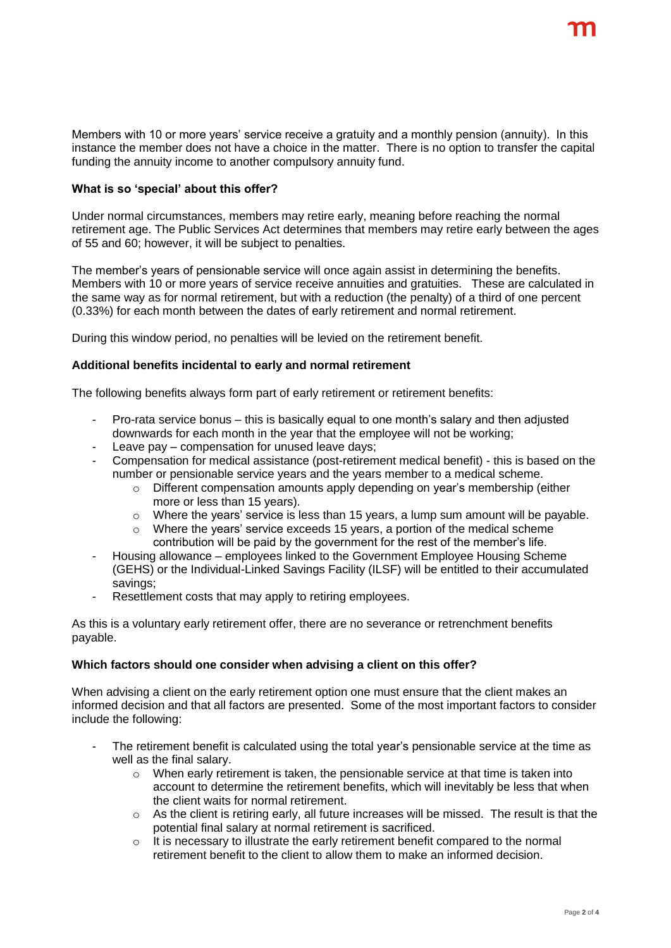Members with 10 or more years' service receive a gratuity and a monthly pension (annuity). In this instance the member does not have a choice in the matter. There is no option to transfer the capital funding the annuity income to another compulsory annuity fund.

#### **What is so 'special' about this offer?**

Under normal circumstances, members may retire early, meaning before reaching the normal retirement age. The Public Services Act determines that members may retire early between the ages of 55 and 60; however, it will be subject to penalties.

The member's years of pensionable service will once again assist in determining the benefits. Members with 10 or more years of service receive annuities and gratuities. These are calculated in the same way as for normal retirement, but with a reduction (the penalty) of a third of one percent (0.33%) for each month between the dates of early retirement and normal retirement.

During this window period, no penalties will be levied on the retirement benefit.

#### **Additional benefits incidental to early and normal retirement**

The following benefits always form part of early retirement or retirement benefits:

- Pro-rata service bonus this is basically equal to one month's salary and then adjusted downwards for each month in the year that the employee will not be working;
- Leave pay compensation for unused leave days;
- Compensation for medical assistance (post-retirement medical benefit) this is based on the number or pensionable service years and the years member to a medical scheme.
	- $\circ$  Different compensation amounts apply depending on year's membership (either more or less than 15 years).
	- o Where the years' service is less than 15 years, a lump sum amount will be payable.
	- $\circ$  Where the years' service exceeds 15 years, a portion of the medical scheme contribution will be paid by the government for the rest of the member's life.
- Housing allowance employees linked to the Government Employee Housing Scheme (GEHS) or the Individual-Linked Savings Facility (ILSF) will be entitled to their accumulated savings;
- Resettlement costs that may apply to retiring employees.

As this is a voluntary early retirement offer, there are no severance or retrenchment benefits payable.

#### **Which factors should one consider when advising a client on this offer?**

When advising a client on the early retirement option one must ensure that the client makes an informed decision and that all factors are presented. Some of the most important factors to consider include the following:

- The retirement benefit is calculated using the total year's pensionable service at the time as well as the final salary.
	- $\circ$  When early retirement is taken, the pensionable service at that time is taken into account to determine the retirement benefits, which will inevitably be less that when the client waits for normal retirement.
	- $\circ$  As the client is retiring early, all future increases will be missed. The result is that the potential final salary at normal retirement is sacrificed.
	- $\circ$  It is necessary to illustrate the early retirement benefit compared to the normal retirement benefit to the client to allow them to make an informed decision.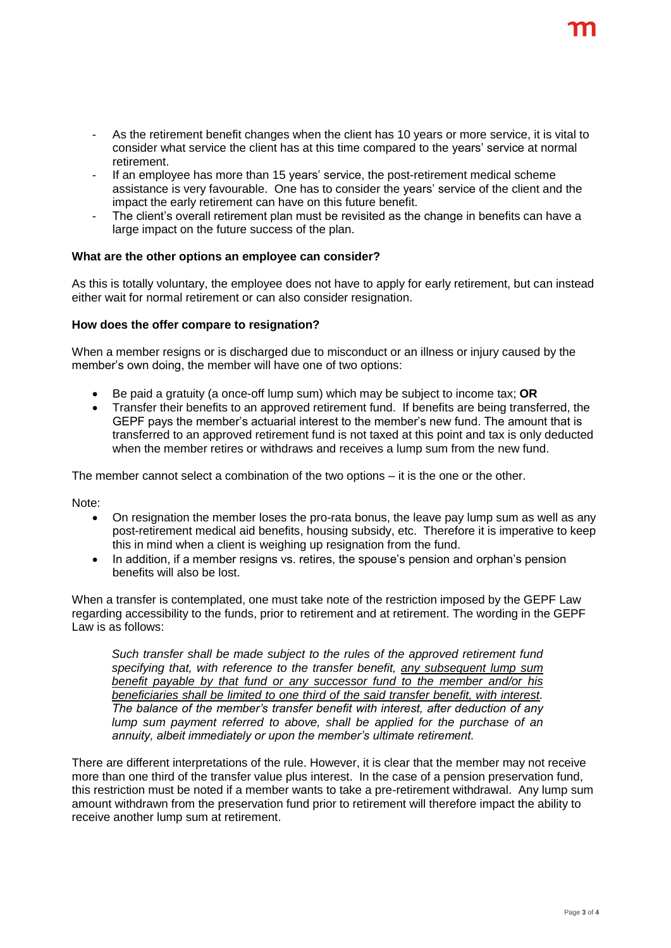- If an employee has more than 15 years' service, the post-retirement medical scheme assistance is very favourable. One has to consider the years' service of the client and the impact the early retirement can have on this future benefit.
- The client's overall retirement plan must be revisited as the change in benefits can have a large impact on the future success of the plan.

#### **What are the other options an employee can consider?**

As this is totally voluntary, the employee does not have to apply for early retirement, but can instead either wait for normal retirement or can also consider resignation.

#### **How does the offer compare to resignation?**

When a member resigns or is discharged due to misconduct or an illness or injury caused by the member's own doing, the member will have one of two options:

- Be paid a gratuity (a once-off lump sum) which may be subject to income tax; **OR**
- Transfer their benefits to an approved retirement fund. If benefits are being transferred, the GEPF pays the member's actuarial interest to the member's new fund. The amount that is transferred to an approved retirement fund is not taxed at this point and tax is only deducted when the member retires or withdraws and receives a lump sum from the new fund.

The member cannot select a combination of the two options – it is the one or the other.

Note:

- On resignation the member loses the pro-rata bonus, the leave pay lump sum as well as any post-retirement medical aid benefits, housing subsidy, etc. Therefore it is imperative to keep this in mind when a client is weighing up resignation from the fund.
- In addition, if a member resigns vs. retires, the spouse's pension and orphan's pension benefits will also be lost.

When a transfer is contemplated, one must take note of the restriction imposed by the GEPF Law regarding accessibility to the funds, prior to retirement and at retirement. The wording in the GEPF Law is as follows:

*Such transfer shall be made subject to the rules of the approved retirement fund specifying that, with reference to the transfer benefit, any subsequent lump sum benefit payable by that fund or any successor fund to the member and/or his beneficiaries shall be limited to one third of the said transfer benefit, with interest. The balance of the member's transfer benefit with interest, after deduction of any lump sum payment referred to above, shall be applied for the purchase of an annuity, albeit immediately or upon the member's ultimate retirement.*

There are different interpretations of the rule. However, it is clear that the member may not receive more than one third of the transfer value plus interest. In the case of a pension preservation fund, this restriction must be noted if a member wants to take a pre-retirement withdrawal. Any lump sum amount withdrawn from the preservation fund prior to retirement will therefore impact the ability to receive another lump sum at retirement.